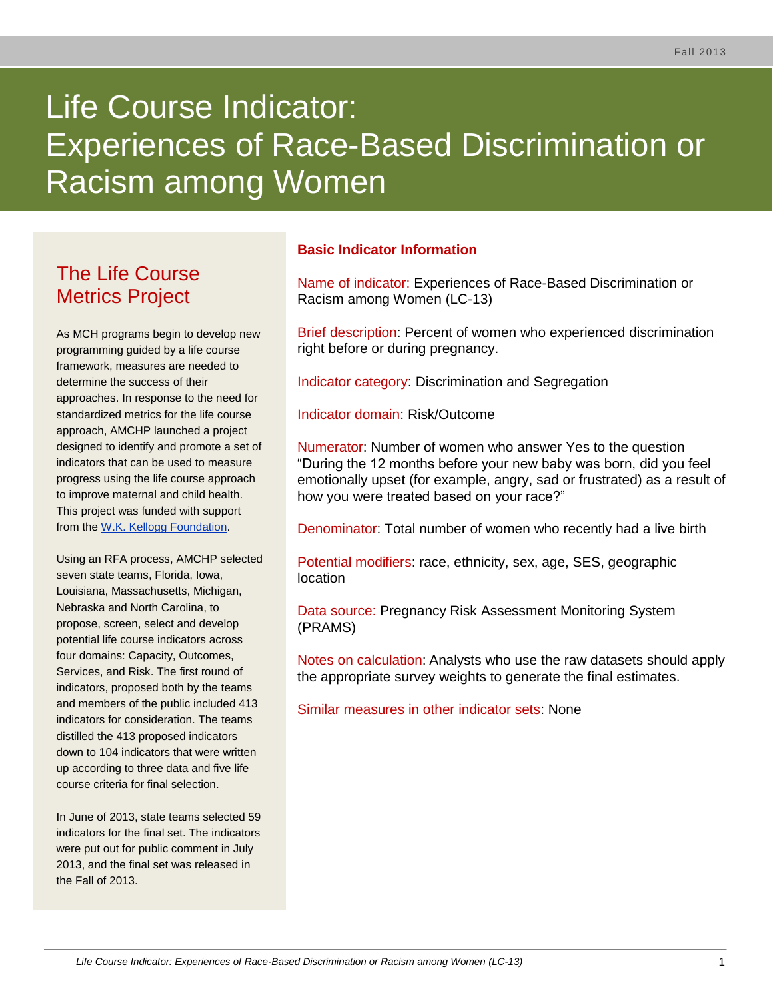# Life Course Indicator: Experiences of Race-Based Discrimination or Racism among Women

# The Life Course Metrics Project

As MCH programs begin to develop new programming guided by a life course framework, measures are needed to determine the success of their approaches. In response to the need for standardized metrics for the life course approach, AMCHP launched a project designed to identify and promote a set of indicators that can be used to measure progress using the life course approach to improve maternal and child health. This project was funded with support from the [W.K. Kellogg Foundation.](http://www.wkkf.org/)

Using an RFA process, AMCHP selected seven state teams, Florida, Iowa, Louisiana, Massachusetts, Michigan, Nebraska and North Carolina, to propose, screen, select and develop potential life course indicators across four domains: Capacity, Outcomes, Services, and Risk. The first round of indicators, proposed both by the teams and members of the public included 413 indicators for consideration. The teams distilled the 413 proposed indicators down to 104 indicators that were written up according to three data and five life course criteria for final selection.

In June of 2013, state teams selected 59 indicators for the final set. The indicators were put out for public comment in July 2013, and the final set was released in the Fall of 2013.

# **Basic Indicator Information**

Name of indicator: Experiences of Race-Based Discrimination or Racism among Women (LC-13)

Brief description: Percent of women who experienced discrimination right before or during pregnancy.

Indicator category: Discrimination and Segregation

Indicator domain: Risk/Outcome

Numerator: Number of women who answer Yes to the question "During the 12 months before your new baby was born, did you feel emotionally upset (for example, angry, sad or frustrated) as a result of how you were treated based on your race?"

Denominator: Total number of women who recently had a live birth

Potential modifiers: race, ethnicity, sex, age, SES, geographic location

Data source: Pregnancy Risk Assessment Monitoring System (PRAMS)

Notes on calculation: Analysts who use the raw datasets should apply the appropriate survey weights to generate the final estimates.

Similar measures in other indicator sets: None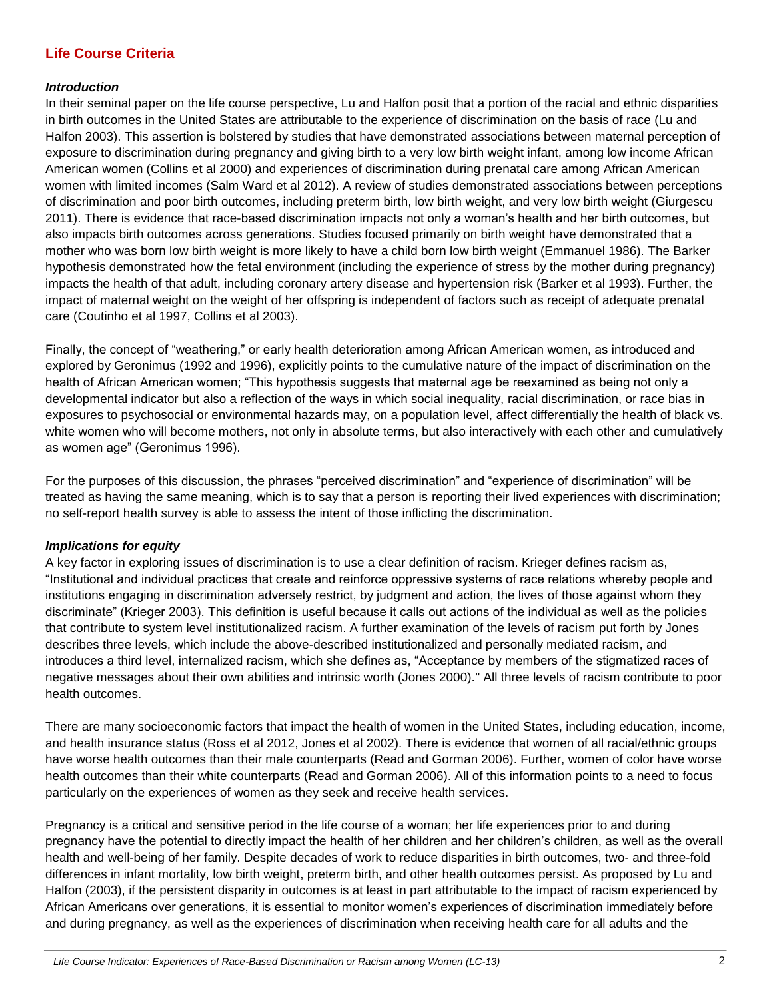### **Life Course Criteria**

#### *Introduction*

In their seminal paper on the life course perspective, Lu and Halfon posit that a portion of the racial and ethnic disparities in birth outcomes in the United States are attributable to the experience of discrimination on the basis of race (Lu and Halfon 2003). This assertion is bolstered by studies that have demonstrated associations between maternal perception of exposure to discrimination during pregnancy and giving birth to a very low birth weight infant, among low income African American women (Collins et al 2000) and experiences of discrimination during prenatal care among African American women with limited incomes (Salm Ward et al 2012). A review of studies demonstrated associations between perceptions of discrimination and poor birth outcomes, including preterm birth, low birth weight, and very low birth weight (Giurgescu 2011). There is evidence that race-based discrimination impacts not only a woman's health and her birth outcomes, but also impacts birth outcomes across generations. Studies focused primarily on birth weight have demonstrated that a mother who was born low birth weight is more likely to have a child born low birth weight (Emmanuel 1986). The Barker hypothesis demonstrated how the fetal environment (including the experience of stress by the mother during pregnancy) impacts the health of that adult, including coronary artery disease and hypertension risk (Barker et al 1993). Further, the impact of maternal weight on the weight of her offspring is independent of factors such as receipt of adequate prenatal care (Coutinho et al 1997, Collins et al 2003).

Finally, the concept of "weathering," or early health deterioration among African American women, as introduced and explored by Geronimus (1992 and 1996), explicitly points to the cumulative nature of the impact of discrimination on the health of African American women; "This hypothesis suggests that maternal age be reexamined as being not only a developmental indicator but also a reflection of the ways in which social inequality, racial discrimination, or race bias in exposures to psychosocial or environmental hazards may, on a population level, affect differentially the health of black vs. white women who will become mothers, not only in absolute terms, but also interactively with each other and cumulatively as women age" (Geronimus 1996).

For the purposes of this discussion, the phrases "perceived discrimination" and "experience of discrimination" will be treated as having the same meaning, which is to say that a person is reporting their lived experiences with discrimination; no self-report health survey is able to assess the intent of those inflicting the discrimination.

#### *Implications for equity*

A key factor in exploring issues of discrimination is to use a clear definition of racism. Krieger defines racism as, "Institutional and individual practices that create and reinforce oppressive systems of race relations whereby people and institutions engaging in discrimination adversely restrict, by judgment and action, the lives of those against whom they discriminate" (Krieger 2003). This definition is useful because it calls out actions of the individual as well as the policies that contribute to system level institutionalized racism. A further examination of the levels of racism put forth by Jones describes three levels, which include the above-described institutionalized and personally mediated racism, and introduces a third level, internalized racism, which she defines as, "Acceptance by members of the stigmatized races of negative messages about their own abilities and intrinsic worth (Jones 2000)." All three levels of racism contribute to poor health outcomes.

There are many socioeconomic factors that impact the health of women in the United States, including education, income, and health insurance status (Ross et al 2012, Jones et al 2002). There is evidence that women of all racial/ethnic groups have worse health outcomes than their male counterparts (Read and Gorman 2006). Further, women of color have worse health outcomes than their white counterparts (Read and Gorman 2006). All of this information points to a need to focus particularly on the experiences of women as they seek and receive health services.

Pregnancy is a critical and sensitive period in the life course of a woman; her life experiences prior to and during pregnancy have the potential to directly impact the health of her children and her children's children, as well as the overall health and well-being of her family. Despite decades of work to reduce disparities in birth outcomes, two- and three-fold differences in infant mortality, low birth weight, preterm birth, and other health outcomes persist. As proposed by Lu and Halfon (2003), if the persistent disparity in outcomes is at least in part attributable to the impact of racism experienced by African Americans over generations, it is essential to monitor women's experiences of discrimination immediately before and during pregnancy, as well as the experiences of discrimination when receiving health care for all adults and the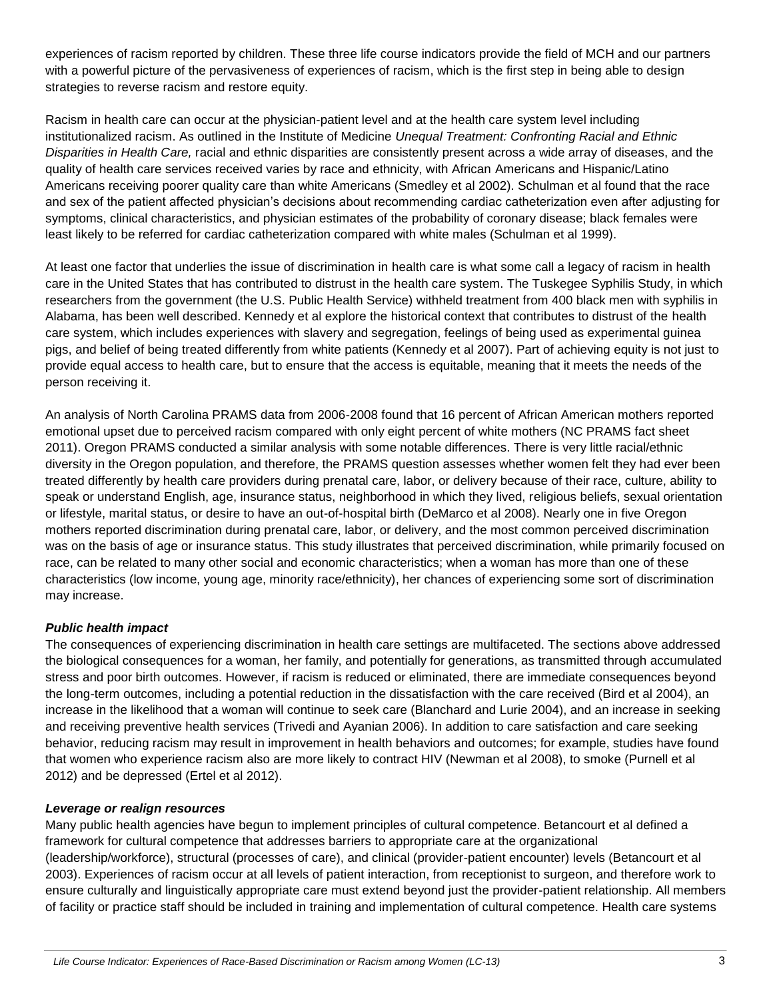experiences of racism reported by children. These three life course indicators provide the field of MCH and our partners with a powerful picture of the pervasiveness of experiences of racism, which is the first step in being able to design strategies to reverse racism and restore equity.

Racism in health care can occur at the physician-patient level and at the health care system level including institutionalized racism. As outlined in the Institute of Medicine *Unequal Treatment: Confronting Racial and Ethnic Disparities in Health Care,* racial and ethnic disparities are consistently present across a wide array of diseases, and the quality of health care services received varies by race and ethnicity, with African Americans and Hispanic/Latino Americans receiving poorer quality care than white Americans (Smedley et al 2002). Schulman et al found that the race and sex of the patient affected physician's decisions about recommending cardiac catheterization even after adjusting for symptoms, clinical characteristics, and physician estimates of the probability of coronary disease; black females were least likely to be referred for cardiac catheterization compared with white males (Schulman et al 1999).

At least one factor that underlies the issue of discrimination in health care is what some call a legacy of racism in health care in the United States that has contributed to distrust in the health care system. The Tuskegee Syphilis Study, in which researchers from the government (the U.S. Public Health Service) withheld treatment from 400 black men with syphilis in Alabama, has been well described. Kennedy et al explore the historical context that contributes to distrust of the health care system, which includes experiences with slavery and segregation, feelings of being used as experimental guinea pigs, and belief of being treated differently from white patients (Kennedy et al 2007). Part of achieving equity is not just to provide equal access to health care, but to ensure that the access is equitable, meaning that it meets the needs of the person receiving it.

An analysis of North Carolina PRAMS data from 2006-2008 found that 16 percent of African American mothers reported emotional upset due to perceived racism compared with only eight percent of white mothers (NC PRAMS fact sheet 2011). Oregon PRAMS conducted a similar analysis with some notable differences. There is very little racial/ethnic diversity in the Oregon population, and therefore, the PRAMS question assesses whether women felt they had ever been treated differently by health care providers during prenatal care, labor, or delivery because of their race, culture, ability to speak or understand English, age, insurance status, neighborhood in which they lived, religious beliefs, sexual orientation or lifestyle, marital status, or desire to have an out-of-hospital birth (DeMarco et al 2008). Nearly one in five Oregon mothers reported discrimination during prenatal care, labor, or delivery, and the most common perceived discrimination was on the basis of age or insurance status. This study illustrates that perceived discrimination, while primarily focused on race, can be related to many other social and economic characteristics; when a woman has more than one of these characteristics (low income, young age, minority race/ethnicity), her chances of experiencing some sort of discrimination may increase.

#### *Public health impact*

The consequences of experiencing discrimination in health care settings are multifaceted. The sections above addressed the biological consequences for a woman, her family, and potentially for generations, as transmitted through accumulated stress and poor birth outcomes. However, if racism is reduced or eliminated, there are immediate consequences beyond the long-term outcomes, including a potential reduction in the dissatisfaction with the care received (Bird et al 2004), an increase in the likelihood that a woman will continue to seek care (Blanchard and Lurie 2004), and an increase in seeking and receiving preventive health services (Trivedi and Ayanian 2006). In addition to care satisfaction and care seeking behavior, reducing racism may result in improvement in health behaviors and outcomes; for example, studies have found that women who experience racism also are more likely to contract HIV (Newman et al 2008), to smoke (Purnell et al 2012) and be depressed (Ertel et al 2012).

#### *Leverage or realign resources*

Many public health agencies have begun to implement principles of cultural competence. Betancourt et al defined a framework for cultural competence that addresses barriers to appropriate care at the organizational (leadership/workforce), structural (processes of care), and clinical (provider-patient encounter) levels (Betancourt et al 2003). Experiences of racism occur at all levels of patient interaction, from receptionist to surgeon, and therefore work to ensure culturally and linguistically appropriate care must extend beyond just the provider-patient relationship. All members of facility or practice staff should be included in training and implementation of cultural competence. Health care systems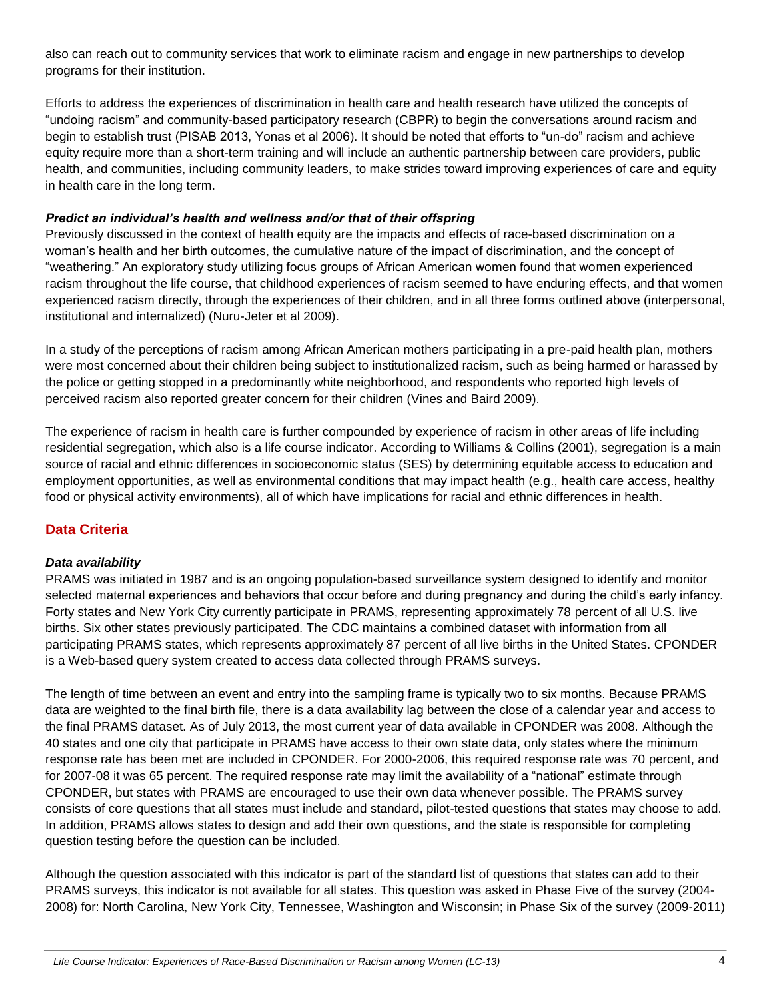also can reach out to community services that work to eliminate racism and engage in new partnerships to develop programs for their institution.

Efforts to address the experiences of discrimination in health care and health research have utilized the concepts of "undoing racism" and community-based participatory research (CBPR) to begin the conversations around racism and begin to establish trust (PISAB 2013, Yonas et al 2006). It should be noted that efforts to "un-do" racism and achieve equity require more than a short-term training and will include an authentic partnership between care providers, public health, and communities, including community leaders, to make strides toward improving experiences of care and equity in health care in the long term.

#### *Predict an individual's health and wellness and/or that of their offspring*

Previously discussed in the context of health equity are the impacts and effects of race-based discrimination on a woman's health and her birth outcomes, the cumulative nature of the impact of discrimination, and the concept of "weathering." An exploratory study utilizing focus groups of African American women found that women experienced racism throughout the life course, that childhood experiences of racism seemed to have enduring effects, and that women experienced racism directly, through the experiences of their children, and in all three forms outlined above (interpersonal, institutional and internalized) (Nuru-Jeter et al 2009).

In a study of the perceptions of racism among African American mothers participating in a pre-paid health plan, mothers were most concerned about their children being subject to institutionalized racism, such as being harmed or harassed by the police or getting stopped in a predominantly white neighborhood, and respondents who reported high levels of perceived racism also reported greater concern for their children (Vines and Baird 2009).

The experience of racism in health care is further compounded by experience of racism in other areas of life including residential segregation, which also is a life course indicator. According to Williams & Collins (2001), segregation is a main source of racial and ethnic differences in socioeconomic status (SES) by determining equitable access to education and employment opportunities, as well as environmental conditions that may impact health (e.g., health care access, healthy food or physical activity environments), all of which have implications for racial and ethnic differences in health.

# **Data Criteria**

#### *Data availability*

PRAMS was initiated in 1987 and is an ongoing population-based surveillance system designed to identify and monitor selected maternal experiences and behaviors that occur before and during pregnancy and during the child's early infancy. Forty states and New York City currently participate in PRAMS, representing approximately 78 percent of all U.S. live births. Six other states previously participated. The CDC maintains a combined dataset with information from all participating PRAMS states, which represents approximately 87 percent of all live births in the United States. CPONDER is a Web-based query system created to access data collected through PRAMS surveys.

The length of time between an event and entry into the sampling frame is typically two to six months. Because PRAMS data are weighted to the final birth file, there is a data availability lag between the close of a calendar year and access to the final PRAMS dataset. As of July 2013, the most current year of data available in CPONDER was 2008. Although the 40 states and one city that participate in PRAMS have access to their own state data, only states where the minimum response rate has been met are included in CPONDER. For 2000-2006, this required response rate was 70 percent, and for 2007-08 it was 65 percent. The required response rate may limit the availability of a "national" estimate through CPONDER, but states with PRAMS are encouraged to use their own data whenever possible. The PRAMS survey consists of core questions that all states must include and standard, pilot-tested questions that states may choose to add. In addition, PRAMS allows states to design and add their own questions, and the state is responsible for completing question testing before the question can be included.

Although the question associated with this indicator is part of the standard list of questions that states can add to their PRAMS surveys, this indicator is not available for all states. This question was asked in Phase Five of the survey (2004- 2008) for: North Carolina, New York City, Tennessee, Washington and Wisconsin; in Phase Six of the survey (2009-2011)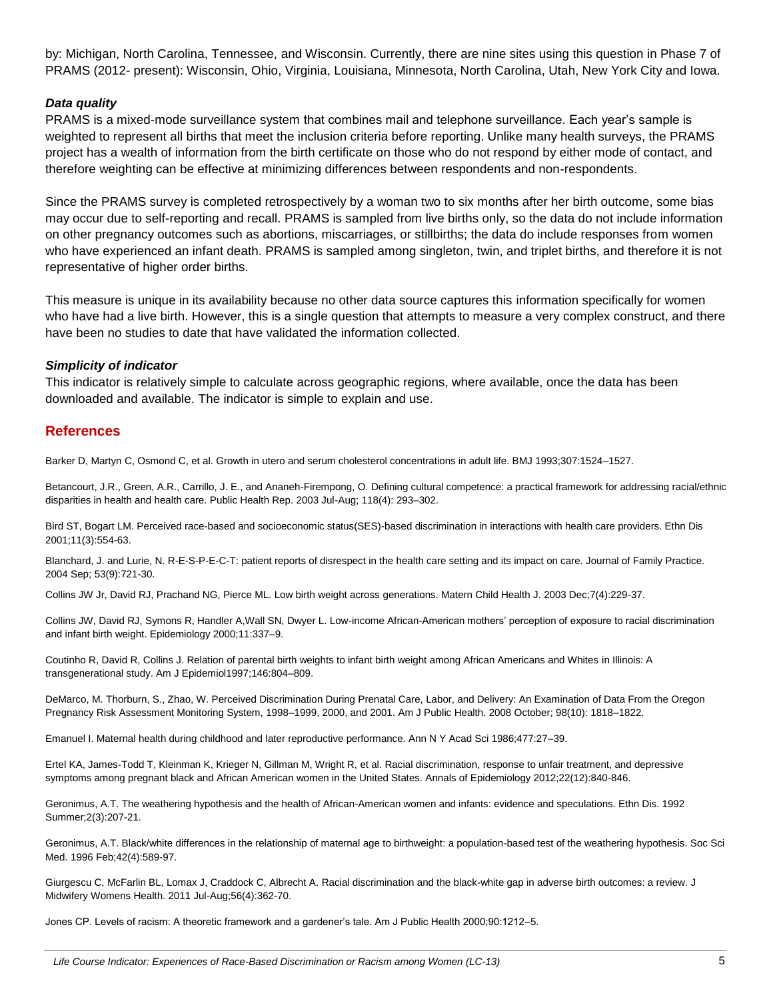by: Michigan, North Carolina, Tennessee, and Wisconsin. Currently, there are nine sites using this question in Phase 7 of PRAMS (2012- present): Wisconsin, Ohio, Virginia, Louisiana, Minnesota, North Carolina, Utah, New York City and Iowa.

#### *Data quality*

PRAMS is a mixed-mode surveillance system that combines mail and telephone surveillance. Each year's sample is weighted to represent all births that meet the inclusion criteria before reporting. Unlike many health surveys, the PRAMS project has a wealth of information from the birth certificate on those who do not respond by either mode of contact, and therefore weighting can be effective at minimizing differences between respondents and non-respondents.

Since the PRAMS survey is completed retrospectively by a woman two to six months after her birth outcome, some bias may occur due to self-reporting and recall. PRAMS is sampled from live births only, so the data do not include information on other pregnancy outcomes such as abortions, miscarriages, or stillbirths; the data do include responses from women who have experienced an infant death. PRAMS is sampled among singleton, twin, and triplet births, and therefore it is not representative of higher order births.

This measure is unique in its availability because no other data source captures this information specifically for women who have had a live birth. However, this is a single question that attempts to measure a very complex construct, and there have been no studies to date that have validated the information collected.

#### *Simplicity of indicator*

This indicator is relatively simple to calculate across geographic regions, where available, once the data has been downloaded and available. The indicator is simple to explain and use.

#### **References**

Barker D, Martyn C, Osmond C, et al. Growth in utero and serum cholesterol concentrations in adult life. BMJ 1993;307:1524–1527.

Betancourt, J.R., Green, A.R., Carrillo, J. E., and Ananeh-Firempong, O. Defining cultural competence: a practical framework for addressing racial/ethnic disparities in health and health care. Public Health Rep. 2003 Jul-Aug; 118(4): 293–302.

Bird ST, Bogart LM. Perceived race-based and socioeconomic status(SES)-based discrimination in interactions with health care providers. Ethn Dis 2001;11(3):554-63.

Blanchard, J. and Lurie, N. R-E-S-P-E-C-T: patient reports of disrespect in the health care setting and its impact on care. Journal of Family Practice. 2004 Sep; 53(9):721-30.

Collins JW Jr, David RJ, Prachand NG, Pierce ML. Low birth weight across generations. Matern Child Health J. 2003 Dec;7(4):229-37.

Collins JW, David RJ, Symons R, Handler A,Wall SN, Dwyer L. Low-income African-American mothers' perception of exposure to racial discrimination and infant birth weight. Epidemiology 2000;11:337–9.

Coutinho R, David R, Collins J. Relation of parental birth weights to infant birth weight among African Americans and Whites in Illinois: A transgenerational study. Am J Epidemiol1997;146:804–809.

DeMarco, M. Thorburn, S., Zhao, W. Perceived Discrimination During Prenatal Care, Labor, and Delivery: An Examination of Data From the Oregon Pregnancy Risk Assessment Monitoring System, 1998–1999, 2000, and 2001. Am J Public Health. 2008 October; 98(10): 1818–1822.

Emanuel I. Maternal health during childhood and later reproductive performance. Ann N Y Acad Sci 1986;477:27–39.

Ertel KA, James-Todd T, Kleinman K, Krieger N, Gillman M, Wright R, et al. Racial discrimination, response to unfair treatment, and depressive symptoms among pregnant black and African American women in the United States. Annals of Epidemiology 2012;22(12):840-846.

Geronimus, A.T. The weathering hypothesis and the health of African-American women and infants: evidence and speculations. Ethn Dis. 1992 Summer;2(3):207-21.

Geronimus, A.T. Black/white differences in the relationship of maternal age to birthweight: a population-based test of the weathering hypothesis. Soc Sci Med. 1996 Feb;42(4):589-97.

Giurgescu C, McFarlin BL, Lomax J, Craddock C, Albrecht A. Racial discrimination and the black-white gap in adverse birth outcomes: a review. J Midwifery Womens Health. 2011 Jul-Aug;56(4):362-70.

Jones CP. Levels of racism: A theoretic framework and a gardener's tale. Am J Public Health 2000;90:1212–5.